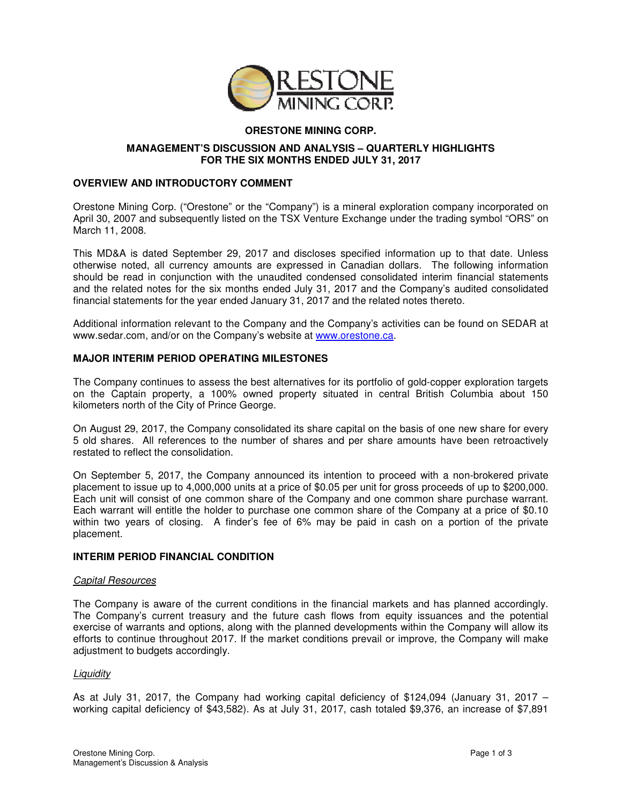

# **ORESTONE MINING CORP.**

## **MANAGEMENT'S DISCUSSION AND ANALYSIS – QUARTERLY HIGHLIGHTS FOR THE SIX MONTHS ENDED JULY 31, 2017**

## **OVERVIEW AND INTRODUCTORY COMMENT**

Orestone Mining Corp. ("Orestone" or the "Company") is a mineral exploration company incorporated on April 30, 2007 and subsequently listed on the TSX Venture Exchange under the trading symbol "ORS" on March 11, 2008.

This MD&A is dated September 29, 2017 and discloses specified information up to that date. Unless otherwise noted, all currency amounts are expressed in Canadian dollars. The following information should be read in conjunction with the unaudited condensed consolidated interim financial statements and the related notes for the six months ended July 31, 2017 and the Company's audited consolidated financial statements for the year ended January 31, 2017 and the related notes thereto.

Additional information relevant to the Company and the Company's activities can be found on SEDAR at www.sedar.com, and/or on the Company's website at www.orestone.ca.

## **MAJOR INTERIM PERIOD OPERATING MILESTONES**

The Company continues to assess the best alternatives for its portfolio of gold-copper exploration targets on the Captain property, a 100% owned property situated in central British Columbia about 150 kilometers north of the City of Prince George.

On August 29, 2017, the Company consolidated its share capital on the basis of one new share for every 5 old shares. All references to the number of shares and per share amounts have been retroactively restated to reflect the consolidation.

On September 5, 2017, the Company announced its intention to proceed with a non-brokered private placement to issue up to 4,000,000 units at a price of \$0.05 per unit for gross proceeds of up to \$200,000. Each unit will consist of one common share of the Company and one common share purchase warrant. Each warrant will entitle the holder to purchase one common share of the Company at a price of \$0.10 within two years of closing. A finder's fee of 6% may be paid in cash on a portion of the private placement.

## **INTERIM PERIOD FINANCIAL CONDITION**

## Capital Resources

The Company is aware of the current conditions in the financial markets and has planned accordingly. The Company's current treasury and the future cash flows from equity issuances and the potential exercise of warrants and options, along with the planned developments within the Company will allow its efforts to continue throughout 2017. If the market conditions prevail or improve, the Company will make adjustment to budgets accordingly.

## **Liquidity**

As at July 31, 2017, the Company had working capital deficiency of \$124,094 (January 31, 2017 – working capital deficiency of \$43,582). As at July 31, 2017, cash totaled \$9,376, an increase of \$7,891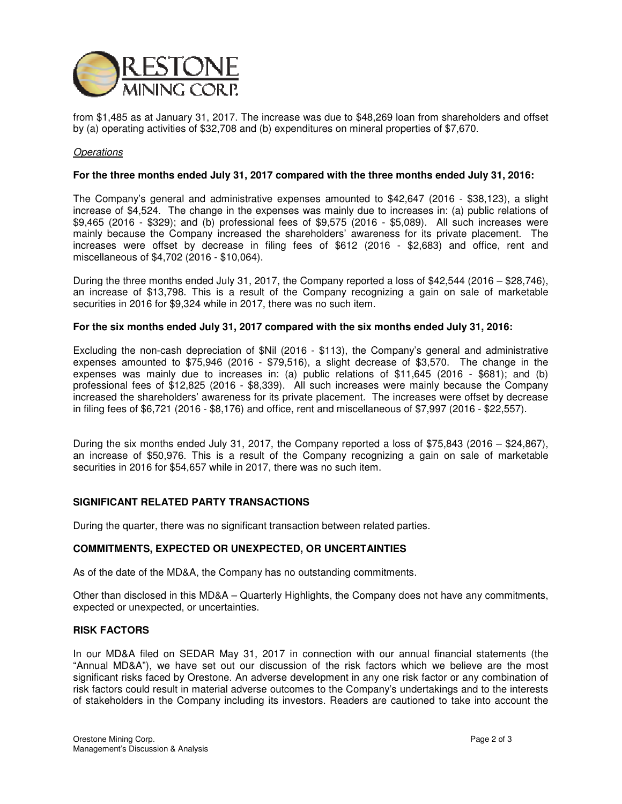

from \$1,485 as at January 31, 2017. The increase was due to \$48,269 loan from shareholders and offset by (a) operating activities of \$32,708 and (b) expenditures on mineral properties of \$7,670.

## **Operations**

### **For the three months ended July 31, 2017 compared with the three months ended July 31, 2016:**

The Company's general and administrative expenses amounted to \$42,647 (2016 - \$38,123), a slight increase of \$4,524. The change in the expenses was mainly due to increases in: (a) public relations of \$9,465 (2016 - \$329); and (b) professional fees of \$9,575 (2016 - \$5,089). All such increases were mainly because the Company increased the shareholders' awareness for its private placement. The increases were offset by decrease in filing fees of \$612 (2016 - \$2,683) and office, rent and miscellaneous of \$4,702 (2016 - \$10,064).

During the three months ended July 31, 2017, the Company reported a loss of \$42,544 (2016 – \$28,746), an increase of \$13,798. This is a result of the Company recognizing a gain on sale of marketable securities in 2016 for \$9,324 while in 2017, there was no such item.

#### **For the six months ended July 31, 2017 compared with the six months ended July 31, 2016:**

Excluding the non-cash depreciation of \$Nil (2016 - \$113), the Company's general and administrative expenses amounted to \$75,946 (2016 - \$79,516), a slight decrease of \$3,570. The change in the expenses was mainly due to increases in: (a) public relations of \$11,645 (2016 - \$681); and (b) professional fees of \$12,825 (2016 - \$8,339). All such increases were mainly because the Company increased the shareholders' awareness for its private placement. The increases were offset by decrease in filing fees of \$6,721 (2016 - \$8,176) and office, rent and miscellaneous of \$7,997 (2016 - \$22,557).

During the six months ended July 31, 2017, the Company reported a loss of \$75,843 (2016 – \$24,867), an increase of \$50,976. This is a result of the Company recognizing a gain on sale of marketable securities in 2016 for \$54,657 while in 2017, there was no such item.

## **SIGNIFICANT RELATED PARTY TRANSACTIONS**

During the quarter, there was no significant transaction between related parties.

#### **COMMITMENTS, EXPECTED OR UNEXPECTED, OR UNCERTAINTIES**

As of the date of the MD&A, the Company has no outstanding commitments.

Other than disclosed in this MD&A – Quarterly Highlights, the Company does not have any commitments, expected or unexpected, or uncertainties.

## **RISK FACTORS**

In our MD&A filed on SEDAR May 31, 2017 in connection with our annual financial statements (the "Annual MD&A"), we have set out our discussion of the risk factors which we believe are the most significant risks faced by Orestone. An adverse development in any one risk factor or any combination of risk factors could result in material adverse outcomes to the Company's undertakings and to the interests of stakeholders in the Company including its investors. Readers are cautioned to take into account the